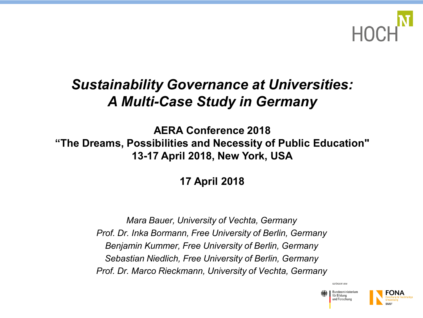

### *Sustainability Governance at Universities: A Multi-Case Study in Germany*

**AERA Conference 2018 "The Dreams, Possibilities and Necessity of Public Education" 13-17 April 2018, New York, USA**

**17 April 2018**

*Mara Bauer, University of Vechta, Germany Prof. Dr. Inka Bormann, Free University of Berlin, Germany Benjamin Kummer, Free University of Berlin, Germany Sebastian Niedlich, Free University of Berlin, Germany Prof. Dr. Marco Rieckmann, University of Vechta, Germany*

> Bundesministeriun für Bildung und Forschung

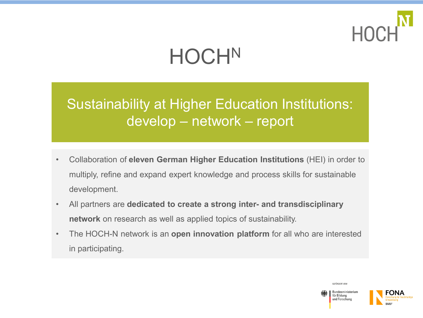

# **HOCHN**

Sustainability at Higher Education Institutions: develop – network – report

- Collaboration of **eleven German Higher Education Institutions** (HEI) in order to multiply, refine and expand expert knowledge and process skills for sustainable development.
- All partners are **dedicated to create a strong inter- and transdisciplinary network** on research as well as applied topics of sustainability.
- The HOCH-N network is an **open innovation platform** for all who are interested in participating.



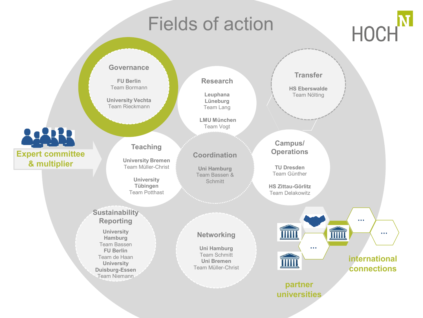# Fields of action



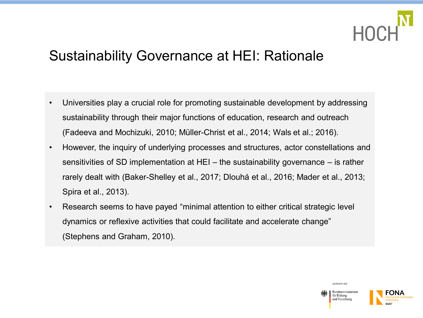

### Sustainability Governance at HEI: Rationale

- Universities play a crucial role for promoting sustainable development by addressing sustainability through their major functions of education, research and outreach (Fadeeva and Mochizuki, 2010; Müller-Christ et al., 2014; Wals et al.; 2016).
- However, the inquiry of underlying processes and structures, actor constellations and sensitivities of SD implementation at HEI – the sustainability governance – is rather rarely dealt with (Baker-Shelley et al., 2017; Dlouhá et al., 2016; Mader et al., 2013; Spira et al., 2013).
- Research seems to have payed "minimal attention to either critical strategic level dynamics or reflexive activities that could facilitate and accelerate change" (Stephens and Graham, 2010).



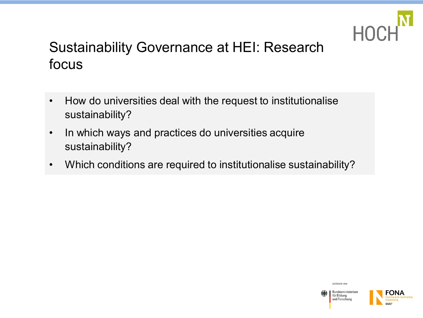

### Sustainability Governance at HEI: Research focus

- How do universities deal with the request to institutionalise sustainability?
- In which ways and practices do universities acquire sustainability?
- Which conditions are required to institutionalise sustainability?

GEEÖRDERT VOM für Bildung

Bundesministerium

und Forschung

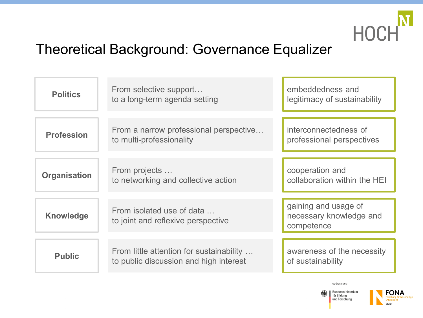

### Theoretical Background: Governance Equalizer

| <b>Politics</b>     | From selective support<br>to a long-term agenda setting                            | embeddedness and<br>legitimacy of sustainability              |
|---------------------|------------------------------------------------------------------------------------|---------------------------------------------------------------|
| <b>Profession</b>   | From a narrow professional perspective<br>to multi-professionality                 | interconnectedness of<br>professional perspectives            |
| <b>Organisation</b> | From projects<br>to networking and collective action                               | cooperation and<br>collaboration within the HEI               |
| <b>Knowledge</b>    | From isolated use of data<br>to joint and reflexive perspective                    | gaining and usage of<br>necessary knowledge and<br>competence |
| <b>Public</b>       | From little attention for sustainability<br>to public discussion and high interest | awareness of the necessity<br>of sustainability               |



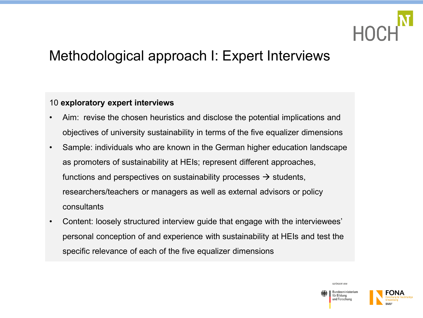

### Methodological approach I: Expert Interviews

#### 10 **exploratory expert interviews**

- Aim: revise the chosen heuristics and disclose the potential implications and objectives of university sustainability in terms of the five equalizer dimensions
- Sample: individuals who are known in the German higher education landscape as promoters of sustainability at HEIs; represent different approaches, functions and perspectives on sustainability processes  $\rightarrow$  students, researchers/teachers or managers as well as external advisors or policy consultants
- Content: loosely structured interview guide that engage with the interviewees' personal conception of and experience with sustainability at HEIs and test the specific relevance of each of the five equalizer dimensions



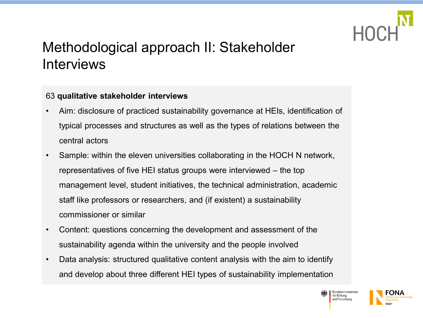

### Methodological approach II: Stakeholder **Interviews**

#### 63 **qualitative stakeholder interviews**

- Aim: disclosure of practiced sustainability governance at HEIs, identification of typical processes and structures as well as the types of relations between the central actors
- Sample: within the eleven universities collaborating in the HOCH N network, representatives of five HEI status groups were interviewed – the top management level, student initiatives, the technical administration, academic staff like professors or researchers, and (if existent) a sustainability commissioner or similar
- Content: questions concerning the development and assessment of the sustainability agenda within the university and the people involved
- Data analysis: structured qualitative content analysis with the aim to identify and develop about three different HEI types of sustainability implementation



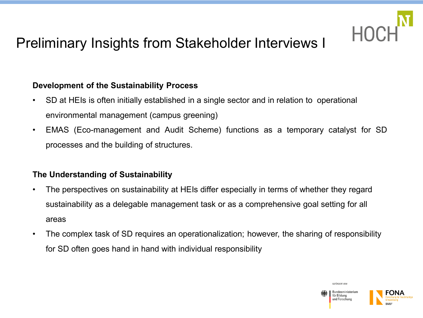

### Preliminary Insights from Stakeholder Interviews I

#### **Development of the Sustainability Process**

- SD at HEIs is often initially established in a single sector and in relation to operational environmental management (campus greening)
- EMAS (Eco-management and Audit Scheme) functions as a temporary catalyst for SD processes and the building of structures.

#### **The Understanding of Sustainability**

- The perspectives on sustainability at HEIs differ especially in terms of whether they regard sustainability as a delegable management task or as a comprehensive goal setting for all areas
- The complex task of SD requires an operationalization; however, the sharing of responsibility for SD often goes hand in hand with individual responsibility

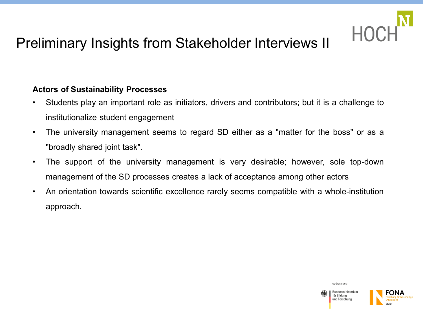

### Preliminary Insights from Stakeholder Interviews II

#### **Actors of Sustainability Processes**

- Students play an important role as initiators, drivers and contributors; but it is a challenge to institutionalize student engagement
- The university management seems to regard SD either as a "matter for the boss" or as a "broadly shared joint task".
- The support of the university management is very desirable; however, sole top-down management of the SD processes creates a lack of acceptance among other actors
- An orientation towards scientific excellence rarely seems compatible with a whole-institution approach.

GEEÖRDERT VOM Bundesministeriur für Bildung und Forschung

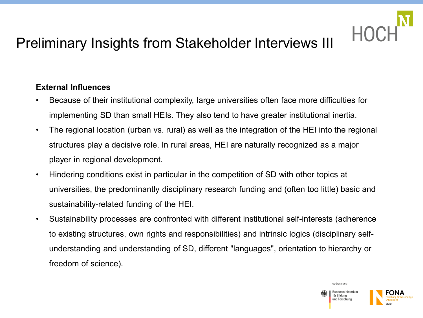## Preliminary Insights from Stakeholder Interviews III

### **External Influences**

- Because of their institutional complexity, large universities often face more difficulties for implementing SD than small HEIs. They also tend to have greater institutional inertia.
- The regional location (urban vs. rural) as well as the integration of the HEI into the regional structures play a decisive role. In rural areas, HEI are naturally recognized as a major player in regional development.
- Hindering conditions exist in particular in the competition of SD with other topics at universities, the predominantly disciplinary research funding and (often too little) basic and sustainability-related funding of the HEI.
- Sustainability processes are confronted with different institutional self-interests (adherence to existing structures, own rights and responsibilities) and intrinsic logics (disciplinary selfunderstanding and understanding of SD, different "languages", orientation to hierarchy or freedom of science).



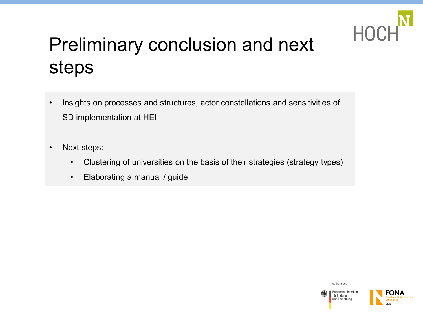

# Preliminary conclusion and next steps

- Insights on processes and structures, actor constellations and sensitivities of SD implementation at HEI
- Next steps:
	- Clustering of universities on the basis of their strategies (strategy types)
	- Elaborating a manual / guide